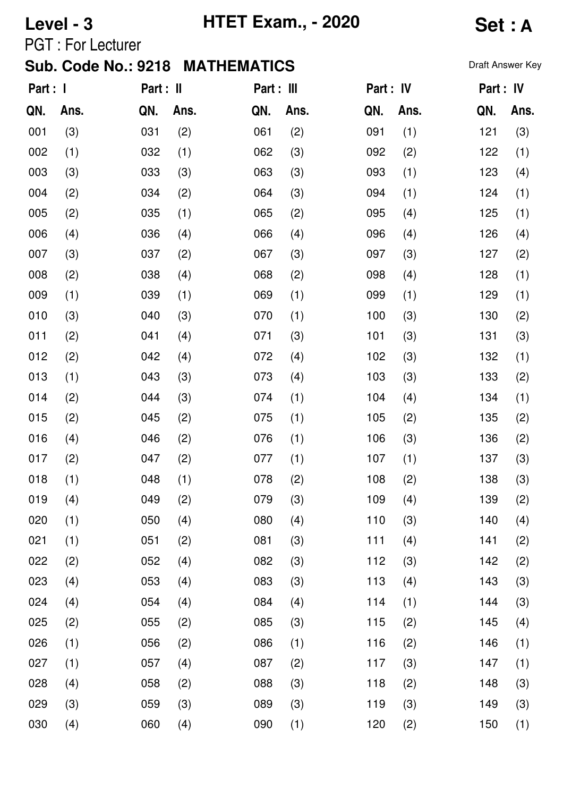## **Level - 3 HTET Exam., - 2020 Set : A**

PGT : For Lecturer

| Part : I |      | Part : II |      | Part : III |      | Part : IV |      | Part : IV |      |
|----------|------|-----------|------|------------|------|-----------|------|-----------|------|
| QN.      | Ans. | QN.       | Ans. | QN.        | Ans. | QN.       | Ans. | QN.       | Ans. |
| 001      | (3)  | 031       | (2)  | 061        | (2)  | 091       | (1)  | 121       | (3)  |
| 002      | (1)  | 032       | (1)  | 062        | (3)  | 092       | (2)  | 122       | (1)  |
| 003      | (3)  | 033       | (3)  | 063        | (3)  | 093       | (1)  | 123       | (4)  |
| 004      | (2)  | 034       | (2)  | 064        | (3)  | 094       | (1)  | 124       | (1)  |
| 005      | (2)  | 035       | (1)  | 065        | (2)  | 095       | (4)  | 125       | (1)  |
| 006      | (4)  | 036       | (4)  | 066        | (4)  | 096       | (4)  | 126       | (4)  |
| 007      | (3)  | 037       | (2)  | 067        | (3)  | 097       | (3)  | 127       | (2)  |
| 008      | (2)  | 038       | (4)  | 068        | (2)  | 098       | (4)  | 128       | (1)  |
| 009      | (1)  | 039       | (1)  | 069        | (1)  | 099       | (1)  | 129       | (1)  |
| 010      | (3)  | 040       | (3)  | 070        | (1)  | 100       | (3)  | 130       | (2)  |
| 011      | (2)  | 041       | (4)  | 071        | (3)  | 101       | (3)  | 131       | (3)  |
| 012      | (2)  | 042       | (4)  | 072        | (4)  | 102       | (3)  | 132       | (1)  |
| 013      | (1)  | 043       | (3)  | 073        | (4)  | 103       | (3)  | 133       | (2)  |
| 014      | (2)  | 044       | (3)  | 074        | (1)  | 104       | (4)  | 134       | (1)  |
| 015      | (2)  | 045       | (2)  | 075        | (1)  | 105       | (2)  | 135       | (2)  |
| 016      | (4)  | 046       | (2)  | 076        | (1)  | 106       | (3)  | 136       | (2)  |
| 017      | (2)  | 047       | (2)  | 077        | (1)  | 107       | (1)  | 137       | (3)  |
| 018      | (1)  | 048       | (1)  | 078        | (2)  | 108       | (2)  | 138       | (3)  |
| 019      | (4)  | 049       | (2)  | 079        | (3)  | 109       | (4)  | 139       | (2)  |
| 020      | (1)  | 050       | (4)  | 080        | (4)  | 110       | (3)  | 140       | (4)  |
| 021      | (1)  | 051       | (2)  | 081        | (3)  | 111       | (4)  | 141       | (2)  |
| 022      | (2)  | 052       | (4)  | 082        | (3)  | 112       | (3)  | 142       | (2)  |
| 023      | (4)  | 053       | (4)  | 083        | (3)  | 113       | (4)  | 143       | (3)  |
| 024      | (4)  | 054       | (4)  | 084        | (4)  | 114       | (1)  | 144       | (3)  |
| 025      | (2)  | 055       | (2)  | 085        | (3)  | 115       | (2)  | 145       | (4)  |
| 026      | (1)  | 056       | (2)  | 086        | (1)  | 116       | (2)  | 146       | (1)  |
| 027      | (1)  | 057       | (4)  | 087        | (2)  | 117       | (3)  | 147       | (1)  |
| 028      | (4)  | 058       | (2)  | 088        | (3)  | 118       | (2)  | 148       | (3)  |
| 029      | (3)  | 059       | (3)  | 089        | (3)  | 119       | (3)  | 149       | (3)  |
| 030      | (4)  | 060       | (4)  | 090        | (1)  | 120       | (2)  | 150       | (1)  |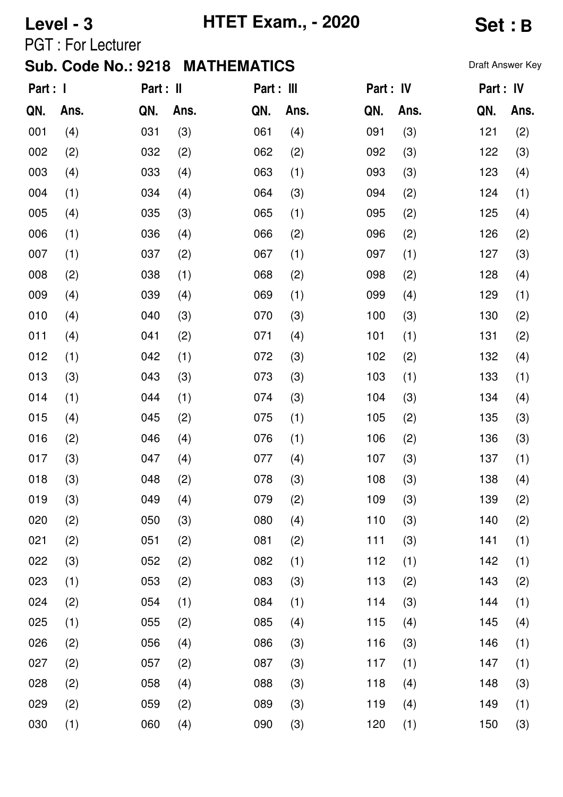# **Level - 3 HTET Exam., - 2020 Set : B**

PGT : For Lecturer

| Part : I |      | Part : II |      | Part : III |      | Part : IV |      |     | Part : IV |
|----------|------|-----------|------|------------|------|-----------|------|-----|-----------|
| QN.      | Ans. | QN.       | Ans. | QN.        | Ans. | QN.       | Ans. | QN. | Ans.      |
| 001      | (4)  | 031       | (3)  | 061        | (4)  | 091       | (3)  | 121 | (2)       |
| 002      | (2)  | 032       | (2)  | 062        | (2)  | 092       | (3)  | 122 | (3)       |
| 003      | (4)  | 033       | (4)  | 063        | (1)  | 093       | (3)  | 123 | (4)       |
| 004      | (1)  | 034       | (4)  | 064        | (3)  | 094       | (2)  | 124 | (1)       |
| 005      | (4)  | 035       | (3)  | 065        | (1)  | 095       | (2)  | 125 | (4)       |
| 006      | (1)  | 036       | (4)  | 066        | (2)  | 096       | (2)  | 126 | (2)       |
| 007      | (1)  | 037       | (2)  | 067        | (1)  | 097       | (1)  | 127 | (3)       |
| 008      | (2)  | 038       | (1)  | 068        | (2)  | 098       | (2)  | 128 | (4)       |
| 009      | (4)  | 039       | (4)  | 069        | (1)  | 099       | (4)  | 129 | (1)       |
| 010      | (4)  | 040       | (3)  | 070        | (3)  | 100       | (3)  | 130 | (2)       |
| 011      | (4)  | 041       | (2)  | 071        | (4)  | 101       | (1)  | 131 | (2)       |
| 012      | (1)  | 042       | (1)  | 072        | (3)  | 102       | (2)  | 132 | (4)       |
| 013      | (3)  | 043       | (3)  | 073        | (3)  | 103       | (1)  | 133 | (1)       |
| 014      | (1)  | 044       | (1)  | 074        | (3)  | 104       | (3)  | 134 | (4)       |
| 015      | (4)  | 045       | (2)  | 075        | (1)  | 105       | (2)  | 135 | (3)       |
| 016      | (2)  | 046       | (4)  | 076        | (1)  | 106       | (2)  | 136 | (3)       |
| 017      | (3)  | 047       | (4)  | 077        | (4)  | 107       | (3)  | 137 | (1)       |
| 018      | (3)  | 048       | (2)  | 078        | (3)  | 108       | (3)  | 138 | (4)       |
| 019      | (3)  | 049       | (4)  | 079        | (2)  | 109       | (3)  | 139 | (2)       |
| 020      | (2)  | 050       | (3)  | 080        | (4)  | 110       | (3)  | 140 | (2)       |
| 021      | (2)  | 051       | (2)  | 081        | (2)  | 111       | (3)  | 141 | (1)       |
| 022      | (3)  | 052       | (2)  | 082        | (1)  | 112       | (1)  | 142 | (1)       |
| 023      | (1)  | 053       | (2)  | 083        | (3)  | 113       | (2)  | 143 | (2)       |
| 024      | (2)  | 054       | (1)  | 084        | (1)  | 114       | (3)  | 144 | (1)       |
| 025      | (1)  | 055       | (2)  | 085        | (4)  | 115       | (4)  | 145 | (4)       |
| 026      | (2)  | 056       | (4)  | 086        | (3)  | 116       | (3)  | 146 | (1)       |
| 027      | (2)  | 057       | (2)  | 087        | (3)  | 117       | (1)  | 147 | (1)       |
| 028      | (2)  | 058       | (4)  | 088        | (3)  | 118       | (4)  | 148 | (3)       |
| 029      | (2)  | 059       | (2)  | 089        | (3)  | 119       | (4)  | 149 | (1)       |
| 030      | (1)  | 060       | (4)  | 090        | (3)  | 120       | (1)  | 150 | (3)       |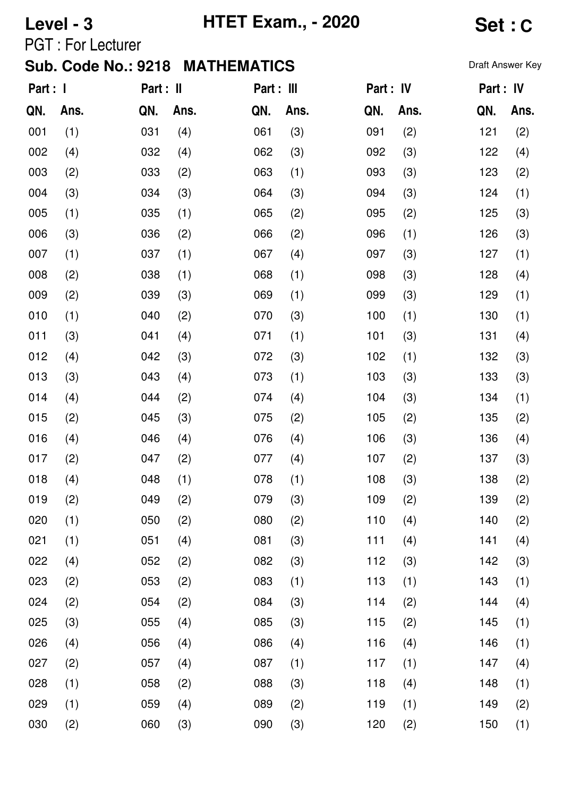# **Level - 3 HTET Exam., - 2020 Set : C**

PGT : For Lecturer

| Part : I |      | Part : II |      | Part : III |      | Part : IV |      | Part : IV |      |
|----------|------|-----------|------|------------|------|-----------|------|-----------|------|
| QN.      | Ans. | QN.       | Ans. | QN.        | Ans. | QN.       | Ans. | QN.       | Ans. |
| 001      | (1)  | 031       | (4)  | 061        | (3)  | 091       | (2)  | 121       | (2)  |
| 002      | (4)  | 032       | (4)  | 062        | (3)  | 092       | (3)  | 122       | (4)  |
| 003      | (2)  | 033       | (2)  | 063        | (1)  | 093       | (3)  | 123       | (2)  |
| 004      | (3)  | 034       | (3)  | 064        | (3)  | 094       | (3)  | 124       | (1)  |
| 005      | (1)  | 035       | (1)  | 065        | (2)  | 095       | (2)  | 125       | (3)  |
| 006      | (3)  | 036       | (2)  | 066        | (2)  | 096       | (1)  | 126       | (3)  |
| 007      | (1)  | 037       | (1)  | 067        | (4)  | 097       | (3)  | 127       | (1)  |
| 008      | (2)  | 038       | (1)  | 068        | (1)  | 098       | (3)  | 128       | (4)  |
| 009      | (2)  | 039       | (3)  | 069        | (1)  | 099       | (3)  | 129       | (1)  |
| 010      | (1)  | 040       | (2)  | 070        | (3)  | 100       | (1)  | 130       | (1)  |
| 011      | (3)  | 041       | (4)  | 071        | (1)  | 101       | (3)  | 131       | (4)  |
| 012      | (4)  | 042       | (3)  | 072        | (3)  | 102       | (1)  | 132       | (3)  |
| 013      | (3)  | 043       | (4)  | 073        | (1)  | 103       | (3)  | 133       | (3)  |
| 014      | (4)  | 044       | (2)  | 074        | (4)  | 104       | (3)  | 134       | (1)  |
| 015      | (2)  | 045       | (3)  | 075        | (2)  | 105       | (2)  | 135       | (2)  |
| 016      | (4)  | 046       | (4)  | 076        | (4)  | 106       | (3)  | 136       | (4)  |
| 017      | (2)  | 047       | (2)  | 077        | (4)  | 107       | (2)  | 137       | (3)  |
| 018      | (4)  | 048       | (1)  | 078        | (1)  | 108       | (3)  | 138       | (2)  |
| 019      | (2)  | 049       | (2)  | 079        | (3)  | 109       | (2)  | 139       | (2)  |
| 020      | (1)  | 050       | (2)  | 080        | (2)  | 110       | (4)  | 140       | (2)  |
| 021      | (1)  | 051       | (4)  | 081        | (3)  | 111       | (4)  | 141       | (4)  |
| 022      | (4)  | 052       | (2)  | 082        | (3)  | 112       | (3)  | 142       | (3)  |
| 023      | (2)  | 053       | (2)  | 083        | (1)  | 113       | (1)  | 143       | (1)  |
| 024      | (2)  | 054       | (2)  | 084        | (3)  | 114       | (2)  | 144       | (4)  |
| 025      | (3)  | 055       | (4)  | 085        | (3)  | 115       | (2)  | 145       | (1)  |
| 026      | (4)  | 056       | (4)  | 086        | (4)  | 116       | (4)  | 146       | (1)  |
| 027      | (2)  | 057       | (4)  | 087        | (1)  | 117       | (1)  | 147       | (4)  |
| 028      | (1)  | 058       | (2)  | 088        | (3)  | 118       | (4)  | 148       | (1)  |
| 029      | (1)  | 059       | (4)  | 089        | (2)  | 119       | (1)  | 149       | (2)  |
| 030      | (2)  | 060       | (3)  | 090        | (3)  | 120       | (2)  | 150       | (1)  |